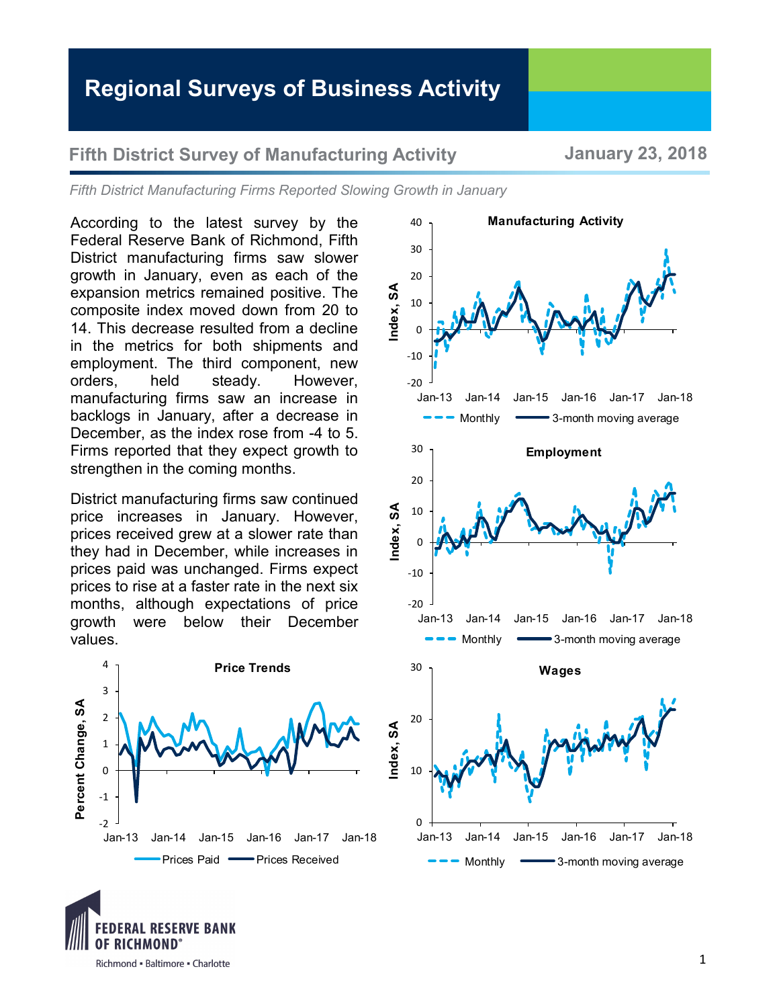## **Regional Surveys of Business Activity**

## **Fifth District Survey of Manufacturing Activity January 23, 2018**

*Fifth District Manufacturing Firms Reported Slowing Growth in January*

40

According to the latest survey by the Federal Reserve Bank of Richmond, Fifth District manufacturing firms saw slower growth in January, even as each of the expansion metrics remained positive. The composite index moved down from 20 to 14. This decrease resulted from a decline in the metrics for both shipments and employment. The third component, new orders, held steady. However, manufacturing firms saw an increase in backlogs in January, after a decrease in December, as the index rose from -4 to 5. Firms reported that they expect growth to strengthen in the coming months.

District manufacturing firms saw continued price increases in January. However, prices received grew at a slower rate than they had in December, while increases in prices paid was unchanged. Firms expect prices to rise at a faster rate in the next six months, although expectations of price growth were below their December values.





**Manufacturing Activity**